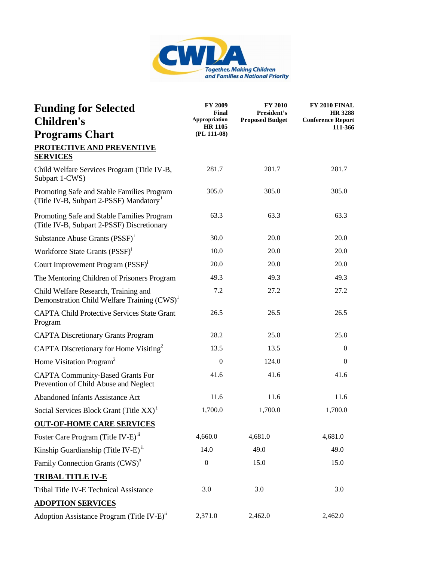

| <b>Funding for Selected</b><br><b>Children's</b>                                                  | FY 2009<br><b>Final</b><br>Appropriation<br><b>HR 1105</b> | <b>FY 2010</b><br>President's<br><b>Proposed Budget</b> | FY 2010 FINAL<br><b>HR 3288</b><br><b>Conference Report</b><br>111-366 |
|---------------------------------------------------------------------------------------------------|------------------------------------------------------------|---------------------------------------------------------|------------------------------------------------------------------------|
| <b>Programs Chart</b>                                                                             | (PL 111-08)                                                |                                                         |                                                                        |
| <b>PROTECTIVE AND PREVENTIVE</b><br><b>SERVICES</b>                                               |                                                            |                                                         |                                                                        |
| Child Welfare Services Program (Title IV-B,<br>Subpart 1-CWS)                                     | 281.7                                                      | 281.7                                                   | 281.7                                                                  |
| Promoting Safe and Stable Families Program<br>(Title IV-B, Subpart 2-PSSF) Mandatory <sup>1</sup> | 305.0                                                      | 305.0                                                   | 305.0                                                                  |
| Promoting Safe and Stable Families Program<br>(Title IV-B, Subpart 2-PSSF) Discretionary          | 63.3                                                       | 63.3                                                    | 63.3                                                                   |
| Substance Abuse Grants (PSSF) <sup>1</sup>                                                        | 30.0                                                       | 20.0                                                    | 20.0                                                                   |
| Workforce State Grants (PSSF) <sup>1</sup>                                                        | 10.0                                                       | 20.0                                                    | 20.0                                                                   |
| Court Improvement Program (PSSF) <sup>1</sup>                                                     | 20.0                                                       | 20.0                                                    | 20.0                                                                   |
| The Mentoring Children of Prisoners Program                                                       | 49.3                                                       | 49.3                                                    | 49.3                                                                   |
| Child Welfare Research, Training and<br>Demonstration Child Welfare Training (CWS) <sup>1</sup>   | 7.2                                                        | 27.2                                                    | 27.2                                                                   |
| <b>CAPTA Child Protective Services State Grant</b><br>Program                                     | 26.5                                                       | 26.5                                                    | 26.5                                                                   |
| <b>CAPTA Discretionary Grants Program</b>                                                         | 28.2                                                       | 25.8                                                    | 25.8                                                                   |
| CAPTA Discretionary for Home Visiting <sup>2</sup>                                                | 13.5                                                       | 13.5                                                    | $\mathbf{0}$                                                           |
| Home Visitation Program <sup>2</sup>                                                              | $\overline{0}$                                             | 124.0                                                   | $\mathbf{0}$                                                           |
| <b>CAPTA Community-Based Grants For</b><br>Prevention of Child Abuse and Neglect                  | 41.6                                                       | 41.6                                                    | 41.6                                                                   |
| <b>Abandoned Infants Assistance Act</b>                                                           | 11.6                                                       | 11.6                                                    | 11.6                                                                   |
| Social Services Block Grant (Title XX) <sup>i</sup>                                               | 1,700.0                                                    | 1,700.0                                                 | 1,700.0                                                                |
| <b>OUT-OF-HOME CARE SERVICES</b>                                                                  |                                                            |                                                         |                                                                        |
| Foster Care Program (Title IV-E) <sup>ii</sup>                                                    | 4,660.0                                                    | 4,681.0                                                 | 4,681.0                                                                |
| Kinship Guardianship (Title IV-E) <sup>ii</sup>                                                   | 14.0                                                       | 49.0                                                    | 49.0                                                                   |
| Family Connection Grants (CWS) <sup>3</sup>                                                       | $\boldsymbol{0}$                                           | 15.0                                                    | 15.0                                                                   |
| <b>TRIBAL TITLE IV-E</b>                                                                          |                                                            |                                                         |                                                                        |
| Tribal Title IV-E Technical Assistance                                                            | 3.0                                                        | 3.0                                                     | 3.0                                                                    |
| <b>ADOPTION SERVICES</b>                                                                          |                                                            |                                                         |                                                                        |
| Adoption Assistance Program (Title IV-E) <sup>ii</sup>                                            | 2,371.0                                                    | 2,462.0                                                 | 2,462.0                                                                |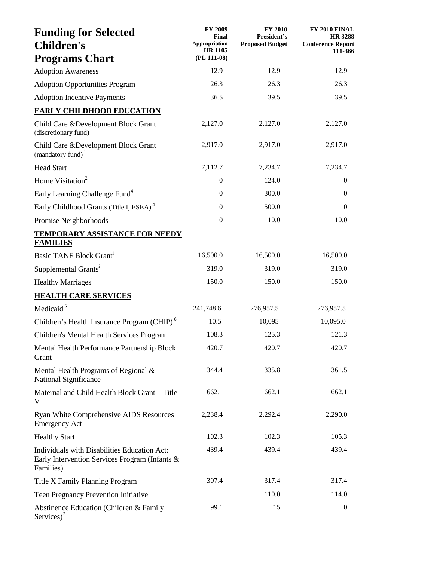| <b>Funding for Selected</b><br><b>Children's</b>                                                            | <b>FY 2009</b><br><b>Final</b><br>Appropriation | <b>FY 2010</b><br>President's<br><b>Proposed Budget</b> | FY 2010 FINAL<br><b>HR 3288</b><br><b>Conference Report</b> |
|-------------------------------------------------------------------------------------------------------------|-------------------------------------------------|---------------------------------------------------------|-------------------------------------------------------------|
| <b>Programs Chart</b>                                                                                       | <b>HR 1105</b><br>(PL 111-08)                   |                                                         | 111-366                                                     |
| <b>Adoption Awareness</b>                                                                                   | 12.9                                            | 12.9                                                    | 12.9                                                        |
| <b>Adoption Opportunities Program</b>                                                                       | 26.3                                            | 26.3                                                    | 26.3                                                        |
| <b>Adoption Incentive Payments</b>                                                                          | 36.5                                            | 39.5                                                    | 39.5                                                        |
| <b>EARLY CHILDHOOD EDUCATION</b>                                                                            |                                                 |                                                         |                                                             |
| Child Care & Development Block Grant<br>(discretionary fund)                                                | 2,127.0                                         | 2,127.0                                                 | 2,127.0                                                     |
| Child Care & Development Block Grant<br>(mandatory fund) <sup>1</sup>                                       | 2,917.0                                         | 2,917.0                                                 | 2,917.0                                                     |
| <b>Head Start</b>                                                                                           | 7,112.7                                         | 7,234.7                                                 | 7,234.7                                                     |
| Home Visitation <sup>2</sup>                                                                                | $\boldsymbol{0}$                                | 124.0                                                   | $\boldsymbol{0}$                                            |
| Early Learning Challenge Fund <sup>4</sup>                                                                  | $\overline{0}$                                  | 300.0                                                   | $\mathbf{0}$                                                |
| Early Childhood Grants (Title I, ESEA) <sup>4</sup>                                                         | $\overline{0}$                                  | 500.0                                                   | $\mathbf{0}$                                                |
| Promise Neighborhoods                                                                                       | $\boldsymbol{0}$                                | 10.0                                                    | 10.0                                                        |
| <b>TEMPORARY ASSISTANCE FOR NEEDY</b>                                                                       |                                                 |                                                         |                                                             |
| <b>FAMILIES</b>                                                                                             |                                                 |                                                         |                                                             |
| Basic TANF Block Grant <sup>i</sup>                                                                         | 16,500.0                                        | 16,500.0                                                | 16,500.0                                                    |
| Supplemental Grants <sup>i</sup>                                                                            | 319.0                                           | 319.0                                                   | 319.0                                                       |
| Healthy Marriages <sup>1</sup>                                                                              | 150.0                                           | 150.0                                                   | 150.0                                                       |
| <b>HEALTH CARE SERVICES</b>                                                                                 |                                                 |                                                         |                                                             |
| Medicaid <sup>5</sup>                                                                                       | 241,748.6                                       | 276,957.5                                               | 276,957.5                                                   |
| Children's Health Insurance Program (CHIP) <sup>6</sup>                                                     | 10.5                                            | 10,095                                                  | 10,095.0                                                    |
| Children's Mental Health Services Program                                                                   | 108.3                                           | 125.3                                                   | 121.3                                                       |
| Mental Health Performance Partnership Block<br>Grant                                                        | 420.7                                           | 420.7                                                   | 420.7                                                       |
| Mental Health Programs of Regional &<br>National Significance                                               | 344.4                                           | 335.8                                                   | 361.5                                                       |
| Maternal and Child Health Block Grant - Title<br>V                                                          | 662.1                                           | 662.1                                                   | 662.1                                                       |
| Ryan White Comprehensive AIDS Resources<br><b>Emergency Act</b>                                             | 2,238.4                                         | 2,292.4                                                 | 2,290.0                                                     |
| <b>Healthy Start</b>                                                                                        | 102.3                                           | 102.3                                                   | 105.3                                                       |
| Individuals with Disabilities Education Act:<br>Early Intervention Services Program (Infants &<br>Families) | 439.4                                           | 439.4                                                   | 439.4                                                       |
| Title X Family Planning Program                                                                             | 307.4                                           | 317.4                                                   | 317.4                                                       |
| <b>Teen Pregnancy Prevention Initiative</b>                                                                 |                                                 | 110.0                                                   | 114.0                                                       |
| Abstinence Education (Children & Family<br>Services)'                                                       | 99.1                                            | 15                                                      | $\boldsymbol{0}$                                            |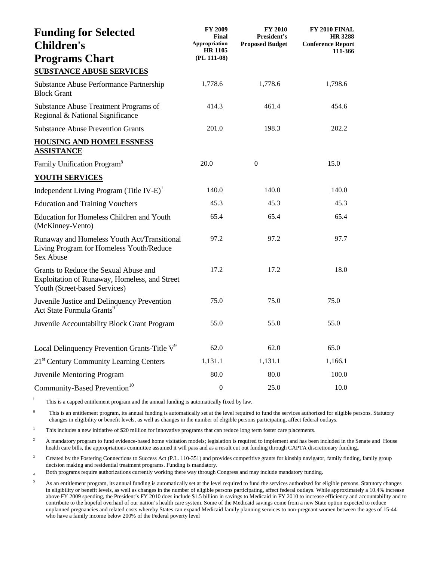| <b>Funding for Selected</b><br><b>Children's</b>                                                                        | FY 2009<br>Final<br>Appropriation<br><b>HR 1105</b> | <b>FY 2010</b><br>President's<br><b>Proposed Budget</b> | FY 2010 FINAL<br><b>HR 3288</b><br><b>Conference Report</b><br>111-366 |
|-------------------------------------------------------------------------------------------------------------------------|-----------------------------------------------------|---------------------------------------------------------|------------------------------------------------------------------------|
| <b>Programs Chart</b>                                                                                                   | $(PL 111-08)$                                       |                                                         |                                                                        |
| <b>SUBSTANCE ABUSE SERVICES</b>                                                                                         |                                                     |                                                         |                                                                        |
| <b>Substance Abuse Performance Partnership</b><br><b>Block Grant</b>                                                    | 1,778.6                                             | 1,778.6                                                 | 1,798.6                                                                |
| Substance Abuse Treatment Programs of<br>Regional & National Significance                                               | 414.3                                               | 461.4                                                   | 454.6                                                                  |
| <b>Substance Abuse Prevention Grants</b>                                                                                | 201.0                                               | 198.3                                                   | 202.2                                                                  |
| <b>HOUSING AND HOMELESSNESS</b><br><b>ASSISTANCE</b>                                                                    |                                                     |                                                         |                                                                        |
| Family Unification Program <sup>8</sup>                                                                                 | 20.0                                                | $\mathbf{0}$                                            | 15.0                                                                   |
| <b>YOUTH SERVICES</b>                                                                                                   |                                                     |                                                         |                                                                        |
| Independent Living Program (Title IV-E) <sup>i</sup>                                                                    | 140.0                                               | 140.0                                                   | 140.0                                                                  |
| <b>Education and Training Vouchers</b>                                                                                  | 45.3                                                | 45.3                                                    | 45.3                                                                   |
| Education for Homeless Children and Youth<br>(McKinney-Vento)                                                           | 65.4                                                | 65.4                                                    | 65.4                                                                   |
| Runaway and Homeless Youth Act/Transitional<br>Living Program for Homeless Youth/Reduce<br>Sex Abuse                    | 97.2                                                | 97.2                                                    | 97.7                                                                   |
| Grants to Reduce the Sexual Abuse and<br>Exploitation of Runaway, Homeless, and Street<br>Youth (Street-based Services) | 17.2                                                | 17.2                                                    | 18.0                                                                   |
| Juvenile Justice and Delinquency Prevention<br>Act State Formula Grants <sup>9</sup>                                    | 75.0                                                | 75.0                                                    | 75.0                                                                   |
| Juvenile Accountability Block Grant Program                                                                             | 55.0                                                | 55.0                                                    | 55.0                                                                   |
| Local Delinquency Prevention Grants-Title $V^9$                                                                         | 62.0                                                | 62.0                                                    | 65.0                                                                   |
| 21 <sup>st</sup> Century Community Learning Centers                                                                     | 1,131.1                                             | 1,131.1                                                 | 1,166.1                                                                |
| <b>Juvenile Mentoring Program</b>                                                                                       | 80.0                                                | 80.0                                                    | 100.0                                                                  |
| Community-Based Prevention <sup>10</sup>                                                                                | $\mathbf{0}$                                        | 25.0                                                    | 10.0                                                                   |

i This is a capped entitlement program and the annual funding is automatically fixed by law.

<sup>ii</sup> This is an entitlement program, its annual funding is automatically set at the level required to fund the services authorized for eligible persons. Statutory changes in eligibility or benefit levels, as well as changes in the number of eligible persons participating, affect federal outlays.

<sup>1</sup> This includes a new initiative of \$20 million for innovative programs that can reduce long term foster care placements.

<sup>2</sup> A mandatory program to fund evidence-based home visitation models; legislation is required to implement and has been included in the Senate and House health care bills, the appropriations committee assumed it will pass and as a result cut out funding through CAPTA discretionary funding..

<sup>3</sup> Created by the Fostering Connections to Success Act (P.L. 110-351) and provides competitive grants for kinship navigator, family finding, family group decision making and residential treatment programs. Funding is mandatory.

<sup>4</sup> Both programs require authorizations currently working there way through Congress and may include mandatory funding.

<sup>5</sup> As an entitlement program, its annual funding is automatically set at the level required to fund the services authorized for eligible persons. Statutory changes in eligibility or benefit levels, as well as changes in the number of eligible persons participating, affect federal outlays. While approximately a 10.4% increase above FY 2009 spending, the President's FY 2010 does include \$1.5 billion in savings to Medicaid in FY 2010 to increase efficiency and accountability and to contribute to the hopeful overhaul of our nation's health care system. Some of the Medicaid savings come from a new State option expected to reduce unplanned pregnancies and related costs whereby States can expand Medicaid family planning services to non-pregnant women between the ages of 15-44 who have a family income below 200% of the Federal poverty level